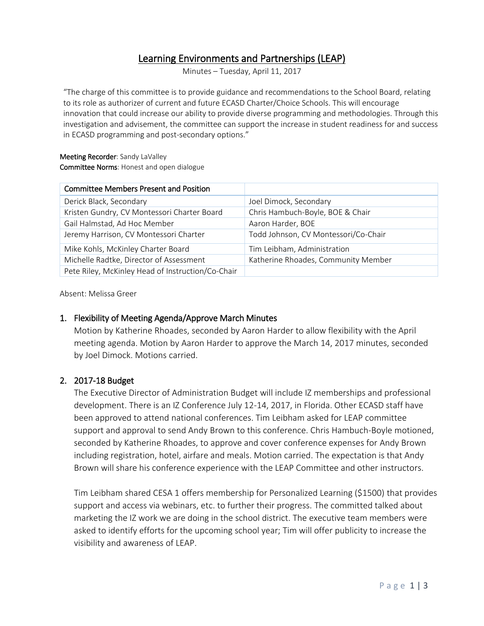# Learning Environments and Partnerships (LEAP)

Minutes – Tuesday, April 11, 2017

"The charge of this committee is to provide guidance and recommendations to the School Board, relating to its role as authorizer of current and future ECASD Charter/Choice Schools. This will encourage innovation that could increase our ability to provide diverse programming and methodologies. Through this investigation and advisement, the committee can support the increase in student readiness for and success in ECASD programming and post-secondary options."

#### Meeting Recorder: Sandy LaValley Committee Norms: Honest and open dialogue

| <b>Committee Members Present and Position</b>     |                                      |
|---------------------------------------------------|--------------------------------------|
| Derick Black, Secondary                           | Joel Dimock, Secondary               |
| Kristen Gundry, CV Montessori Charter Board       | Chris Hambuch-Boyle, BOE & Chair     |
| Gail Halmstad, Ad Hoc Member                      | Aaron Harder, BOE                    |
| Jeremy Harrison, CV Montessori Charter            | Todd Johnson, CV Montessori/Co-Chair |
| Mike Kohls, McKinley Charter Board                | Tim Leibham, Administration          |
| Michelle Radtke, Director of Assessment           | Katherine Rhoades, Community Member  |
| Pete Riley, McKinley Head of Instruction/Co-Chair |                                      |

Absent: Melissa Greer

### 1. Flexibility of Meeting Agenda/Approve March Minutes

Motion by Katherine Rhoades, seconded by Aaron Harder to allow flexibility with the April meeting agenda. Motion by Aaron Harder to approve the March 14, 2017 minutes, seconded by Joel Dimock. Motions carried.

# 2. 2017-18 Budget

The Executive Director of Administration Budget will include IZ memberships and professional development. There is an IZ Conference July 12-14, 2017, in Florida. Other ECASD staff have been approved to attend national conferences. Tim Leibham asked for LEAP committee support and approval to send Andy Brown to this conference. Chris Hambuch-Boyle motioned, seconded by Katherine Rhoades, to approve and cover conference expenses for Andy Brown including registration, hotel, airfare and meals. Motion carried. The expectation is that Andy Brown will share his conference experience with the LEAP Committee and other instructors.

Tim Leibham shared CESA 1 offers membership for Personalized Learning (\$1500) that provides support and access via webinars, etc. to further their progress. The committed talked about marketing the IZ work we are doing in the school district. The executive team members were asked to identify efforts for the upcoming school year; Tim will offer publicity to increase the visibility and awareness of LEAP.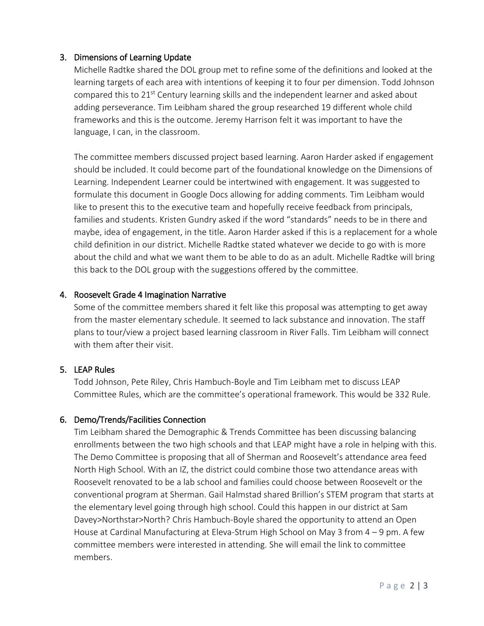# 3. Dimensions of Learning Update

Michelle Radtke shared the DOL group met to refine some of the definitions and looked at the learning targets of each area with intentions of keeping it to four per dimension. Todd Johnson compared this to 21<sup>st</sup> Century learning skills and the independent learner and asked about adding perseverance. Tim Leibham shared the group researched 19 different whole child frameworks and this is the outcome. Jeremy Harrison felt it was important to have the language, I can, in the classroom.

The committee members discussed project based learning. Aaron Harder asked if engagement should be included. It could become part of the foundational knowledge on the Dimensions of Learning. Independent Learner could be intertwined with engagement. It was suggested to formulate this document in Google Docs allowing for adding comments. Tim Leibham would like to present this to the executive team and hopefully receive feedback from principals, families and students. Kristen Gundry asked if the word "standards" needs to be in there and maybe, idea of engagement, in the title. Aaron Harder asked if this is a replacement for a whole child definition in our district. Michelle Radtke stated whatever we decide to go with is more about the child and what we want them to be able to do as an adult. Michelle Radtke will bring this back to the DOL group with the suggestions offered by the committee.

# 4. Roosevelt Grade 4 Imagination Narrative

Some of the committee members shared it felt like this proposal was attempting to get away from the master elementary schedule. It seemed to lack substance and innovation. The staff plans to tour/view a project based learning classroom in River Falls. Tim Leibham will connect with them after their visit.

# 5. LEAP Rules

Todd Johnson, Pete Riley, Chris Hambuch-Boyle and Tim Leibham met to discuss LEAP Committee Rules, which are the committee's operational framework. This would be 332 Rule.

# 6. Demo/Trends/Facilities Connection

Tim Leibham shared the Demographic & Trends Committee has been discussing balancing enrollments between the two high schools and that LEAP might have a role in helping with this. The Demo Committee is proposing that all of Sherman and Roosevelt's attendance area feed North High School. With an IZ, the district could combine those two attendance areas with Roosevelt renovated to be a lab school and families could choose between Roosevelt or the conventional program at Sherman. Gail Halmstad shared Brillion's STEM program that starts at the elementary level going through high school. Could this happen in our district at Sam Davey>Northstar>North? Chris Hambuch-Boyle shared the opportunity to attend an Open House at Cardinal Manufacturing at Eleva-Strum High School on May 3 from 4 – 9 pm. A few committee members were interested in attending. She will email the link to committee members.